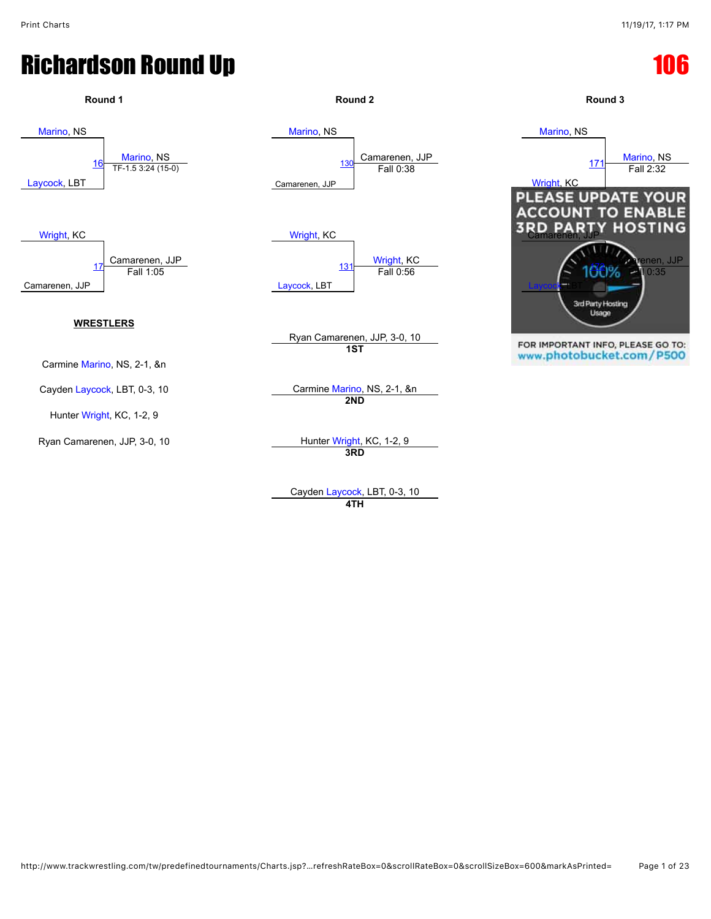

Cayden [Laycock,](javascript:viewProfile(646310096)) LBT, 0-3, 10 **4TH**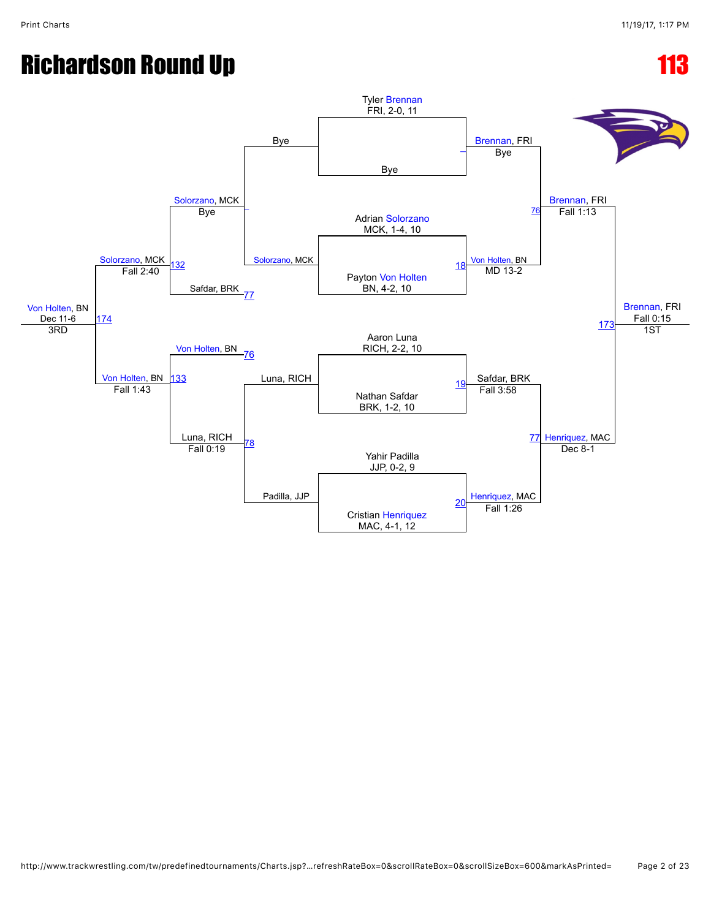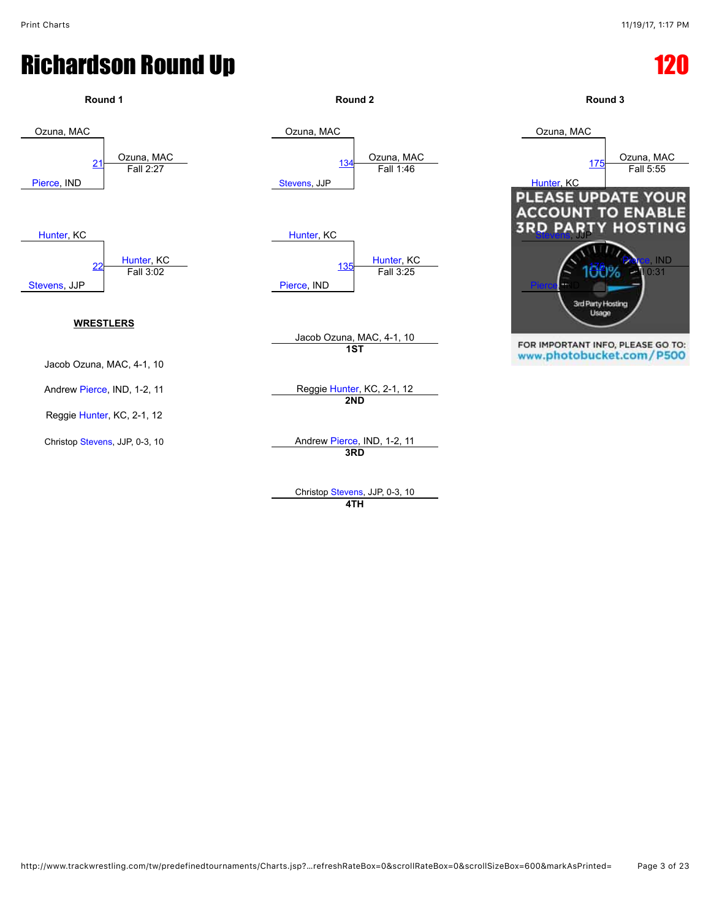

Christop [Stevens,](javascript:viewProfile(1555287096)) JJP, 0-3, 10 **4TH**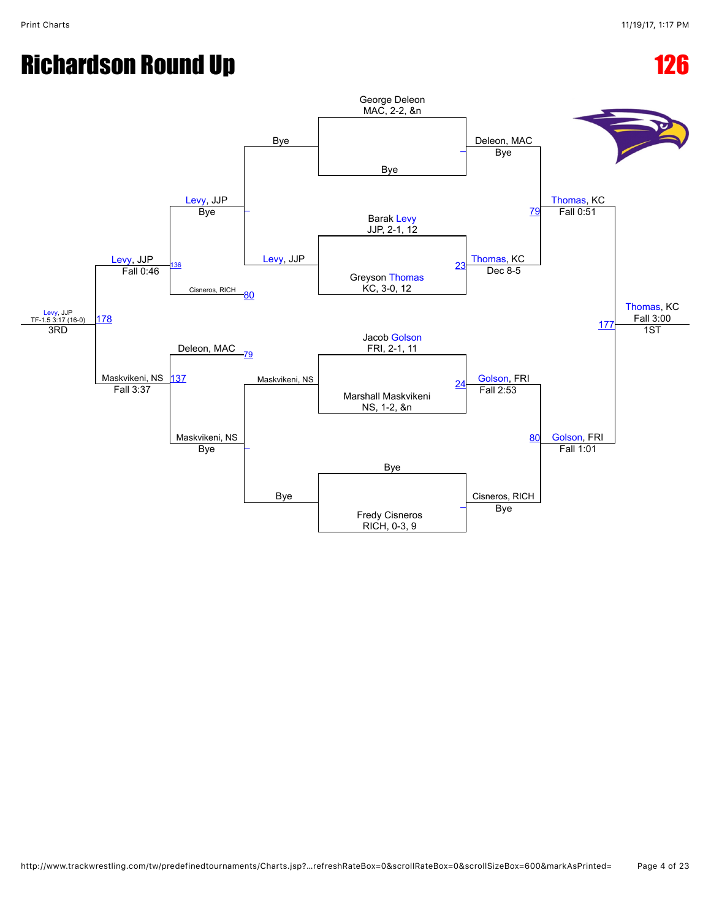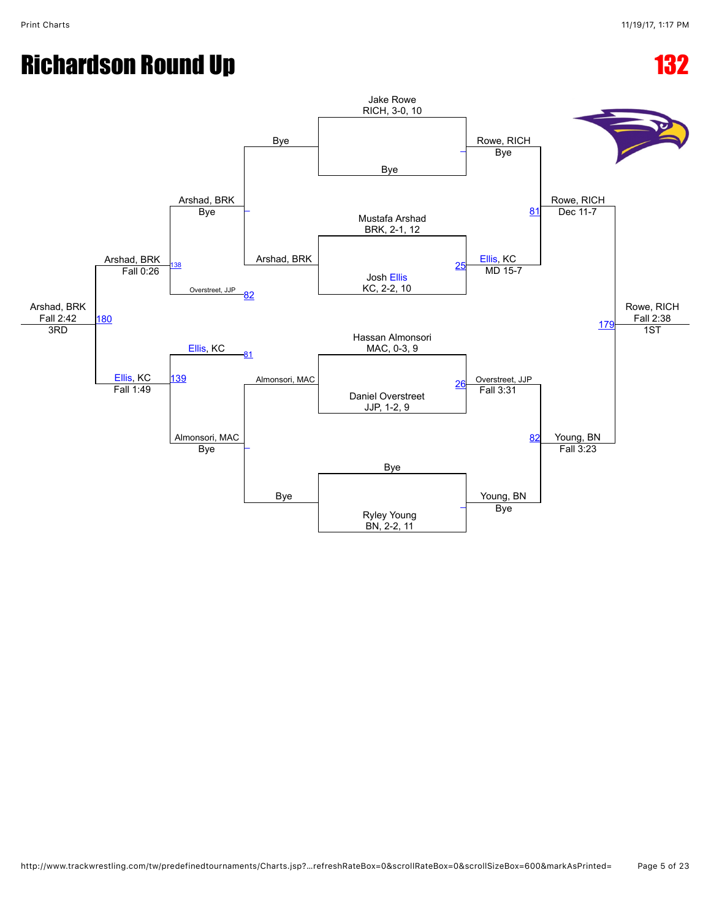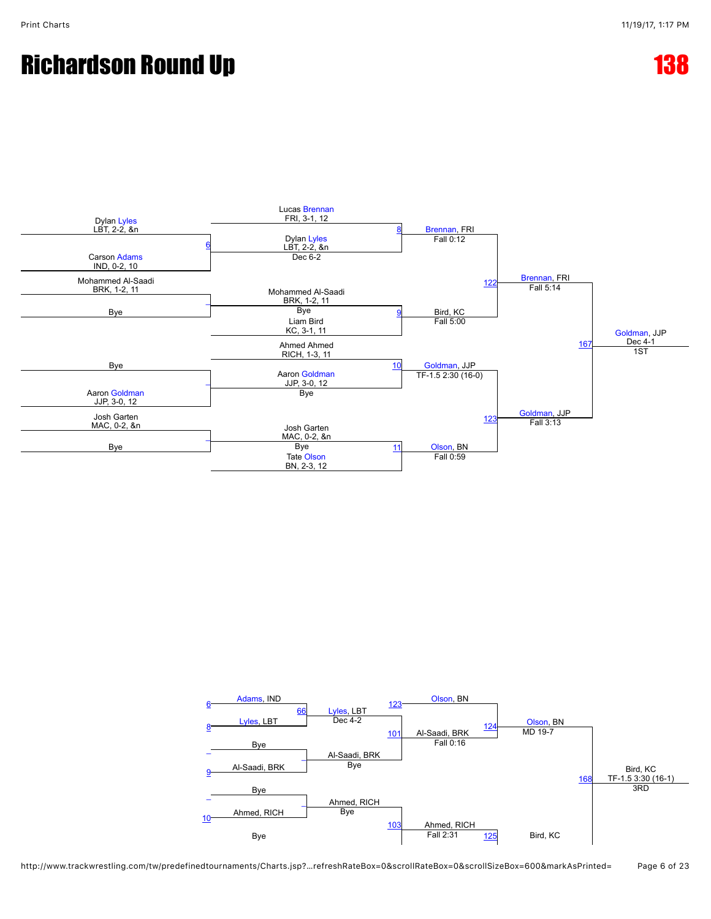

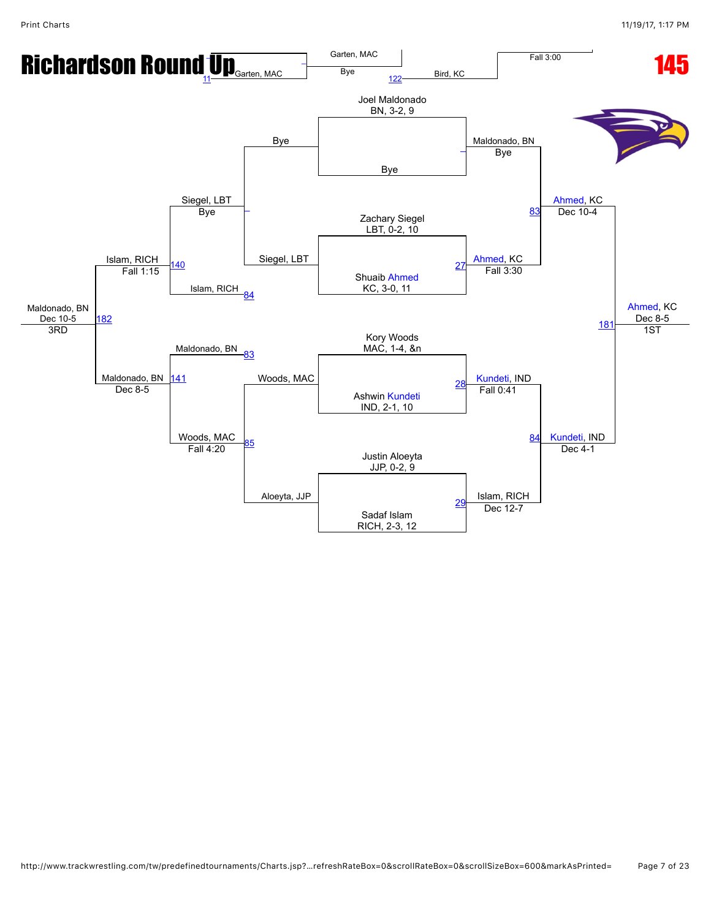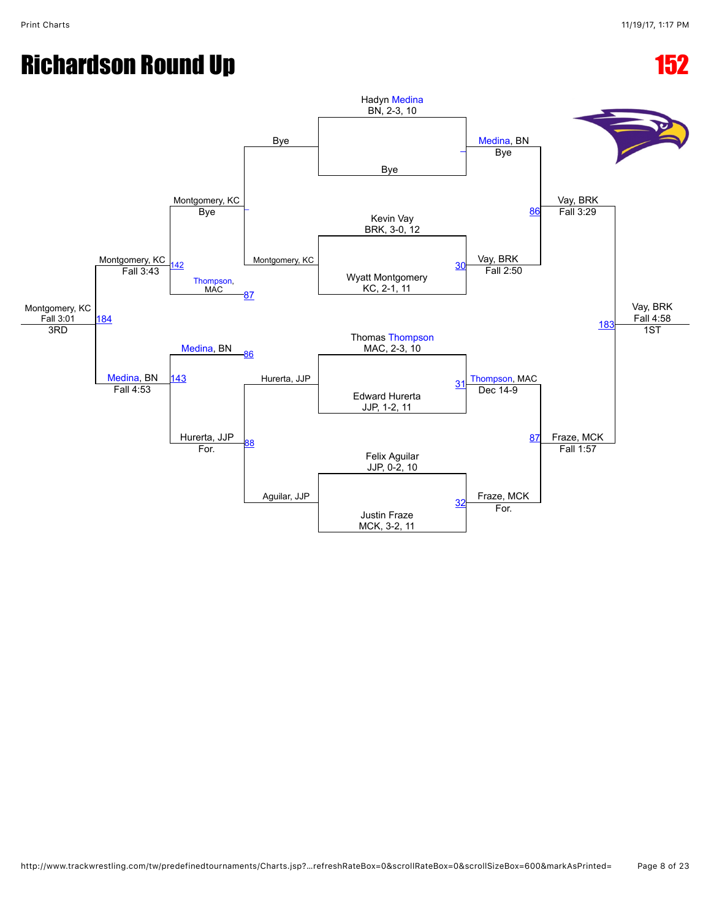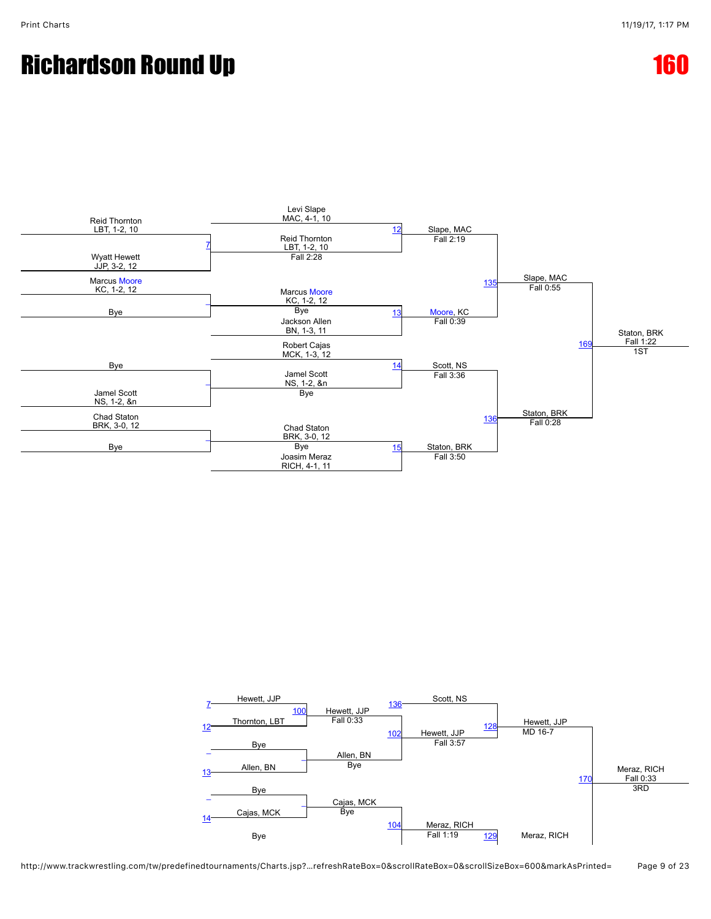### Richardson Round Up **160 and 160 and 160 and 160 and 160 and 160 and 160 and 160 and 160 and 160 and 160 and 160**



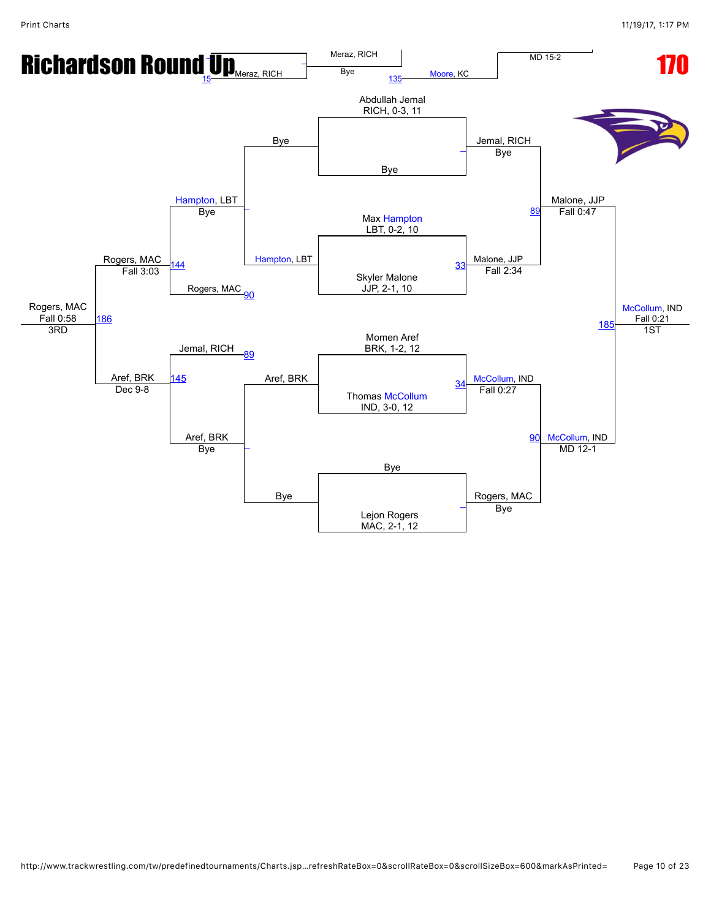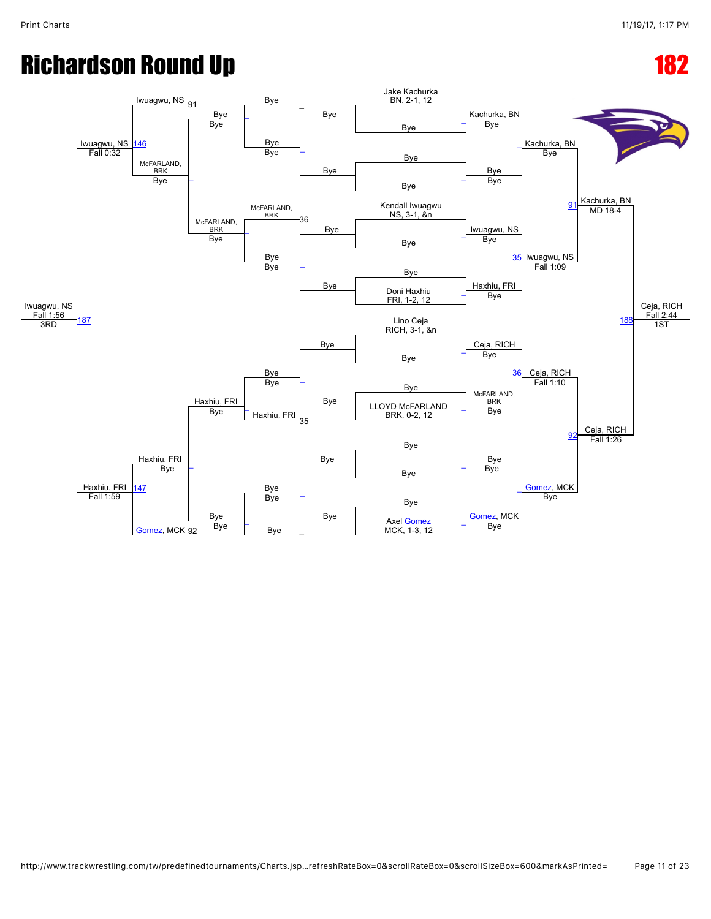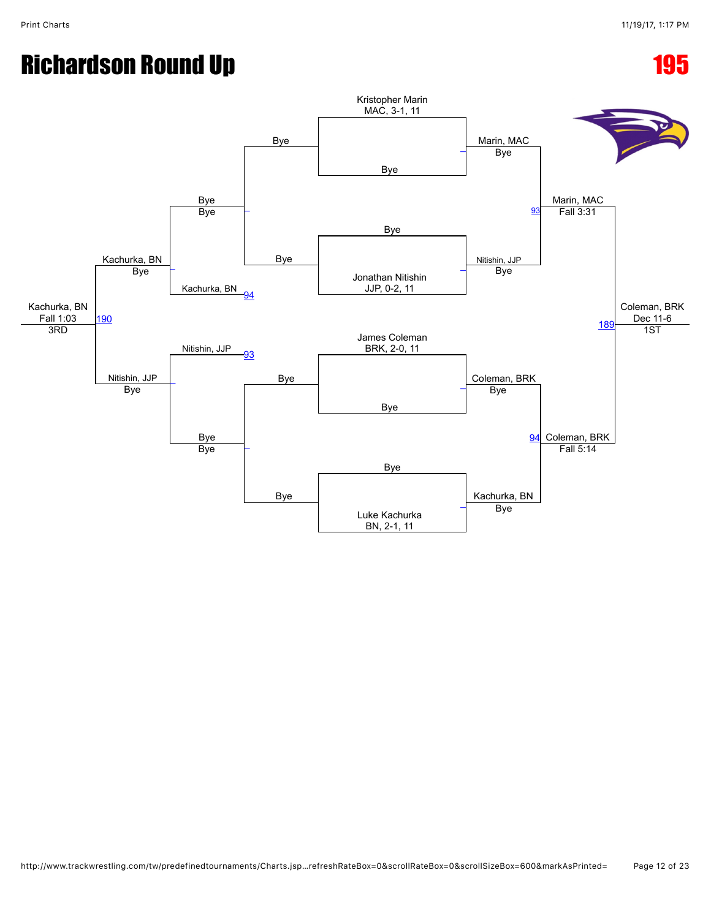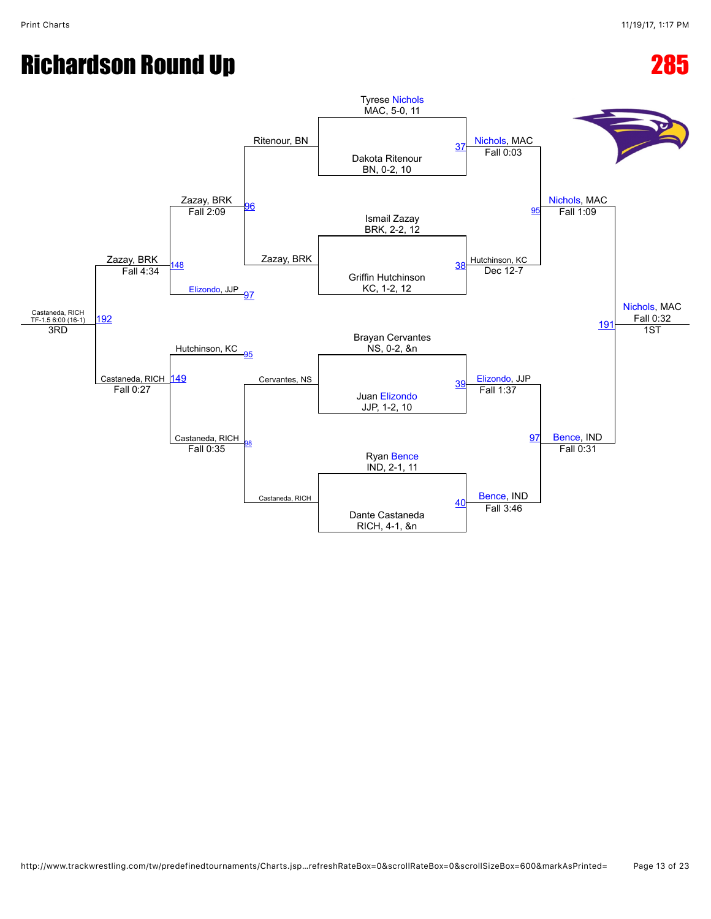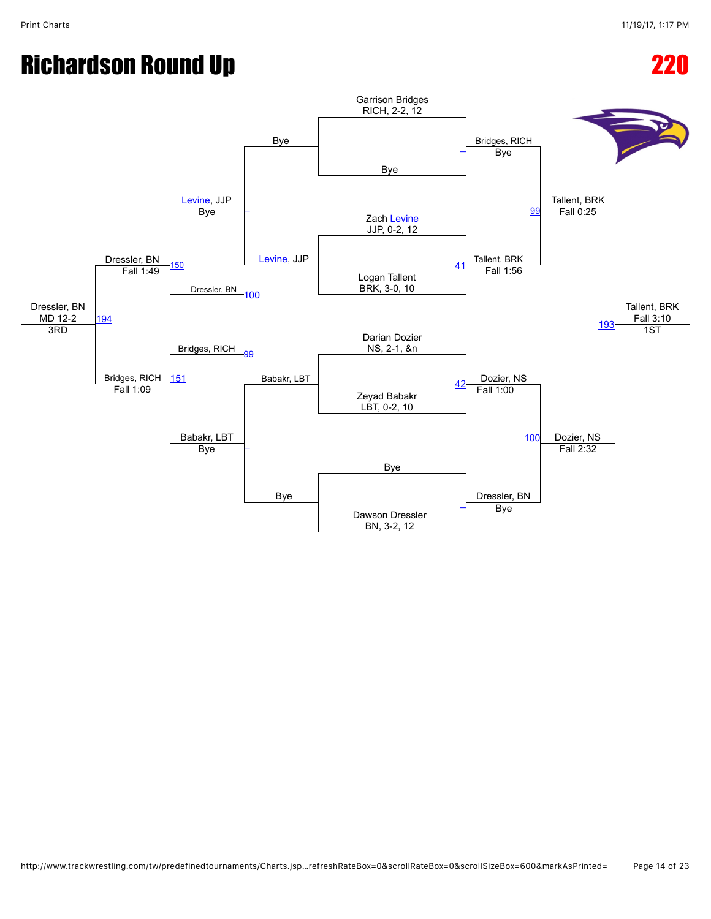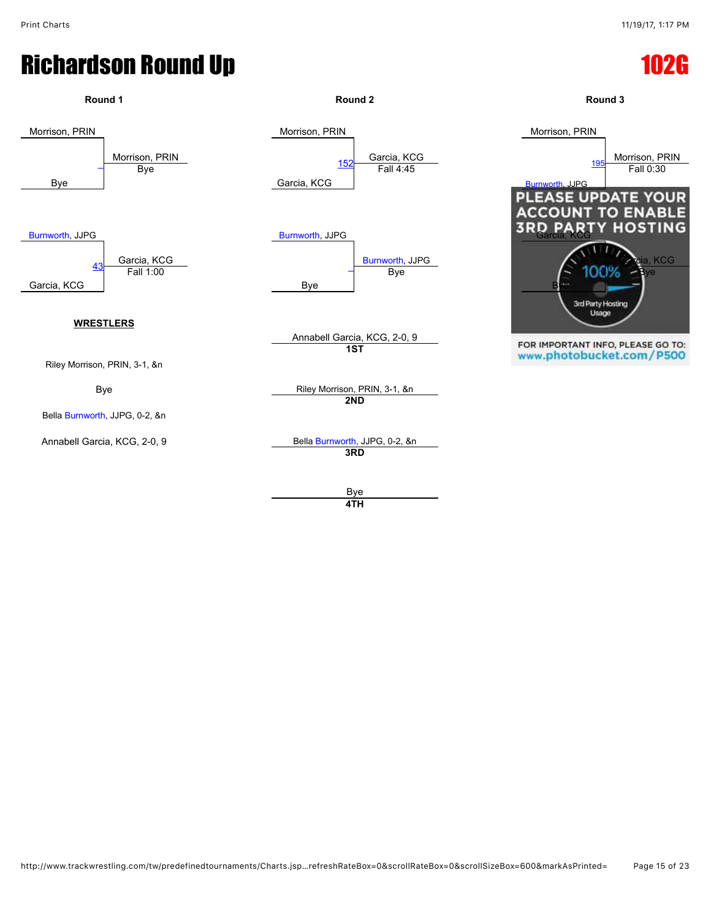

**4TH**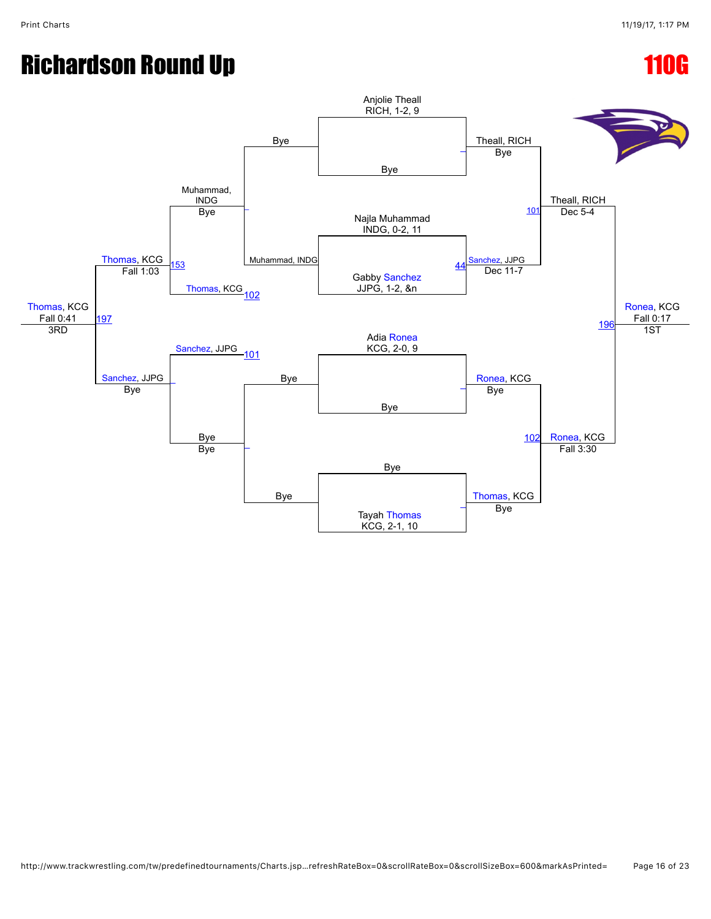# Richardson Round Up **110G**

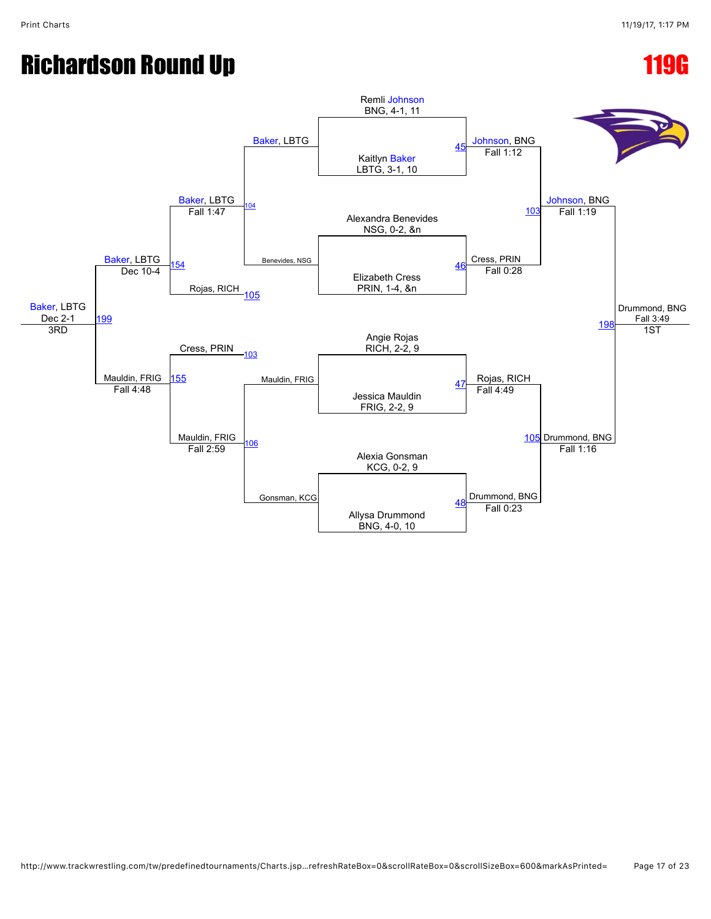## Richardson Round Up **119G**

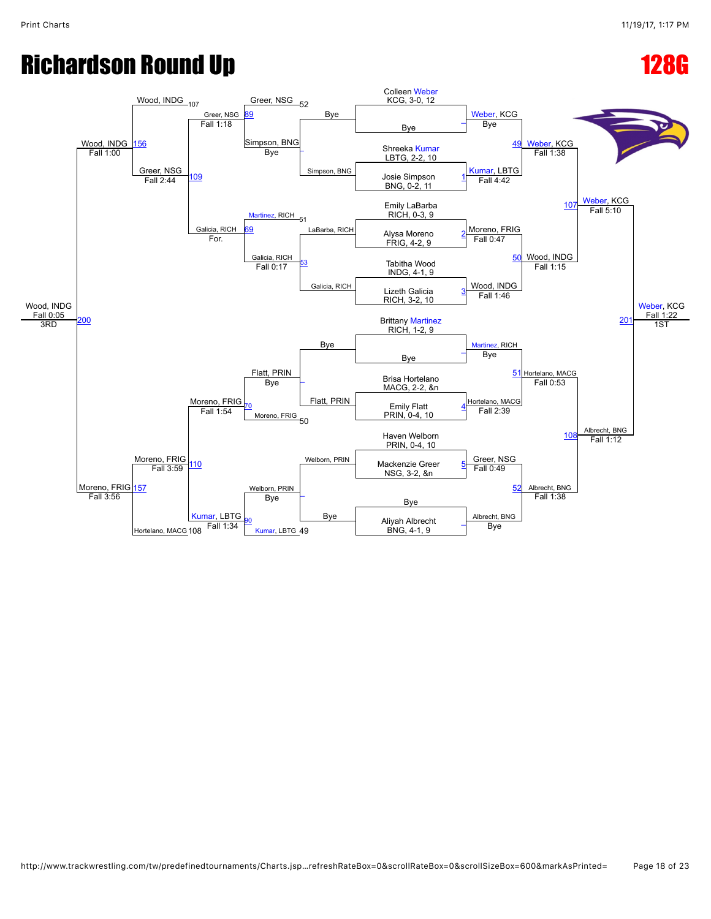### Richardson Round Up **128G**

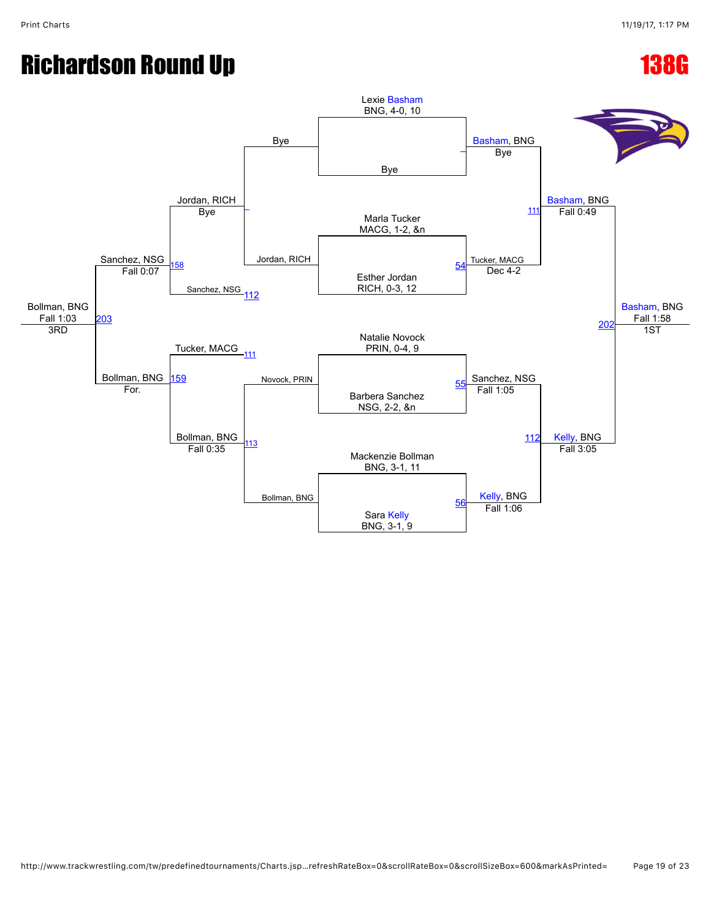## Richardson Round Up **138G**

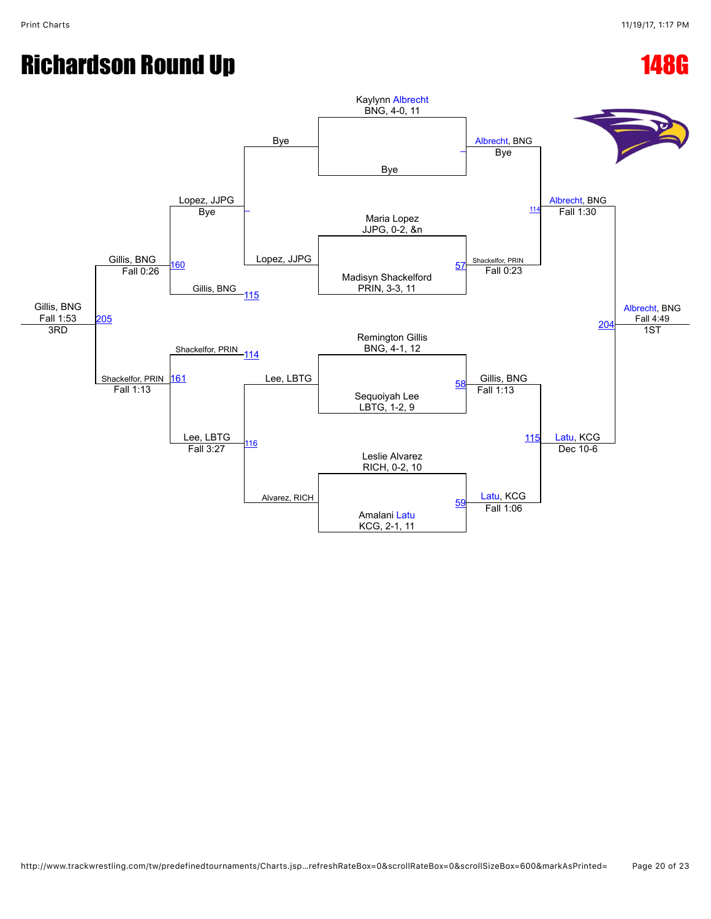## Richardson Round Up **148G**

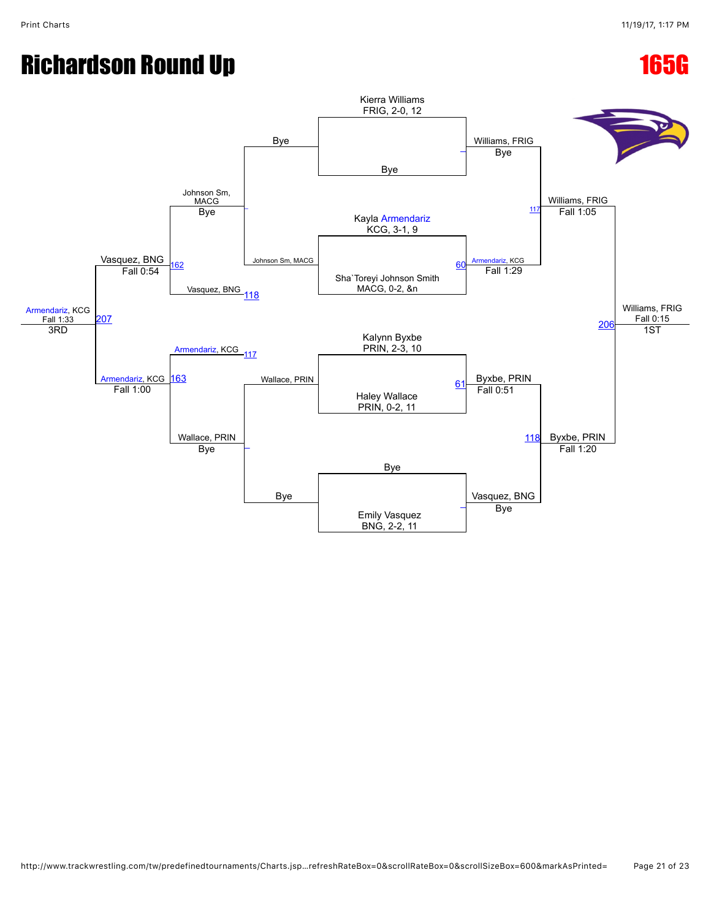# Richardson Round Up **165G**

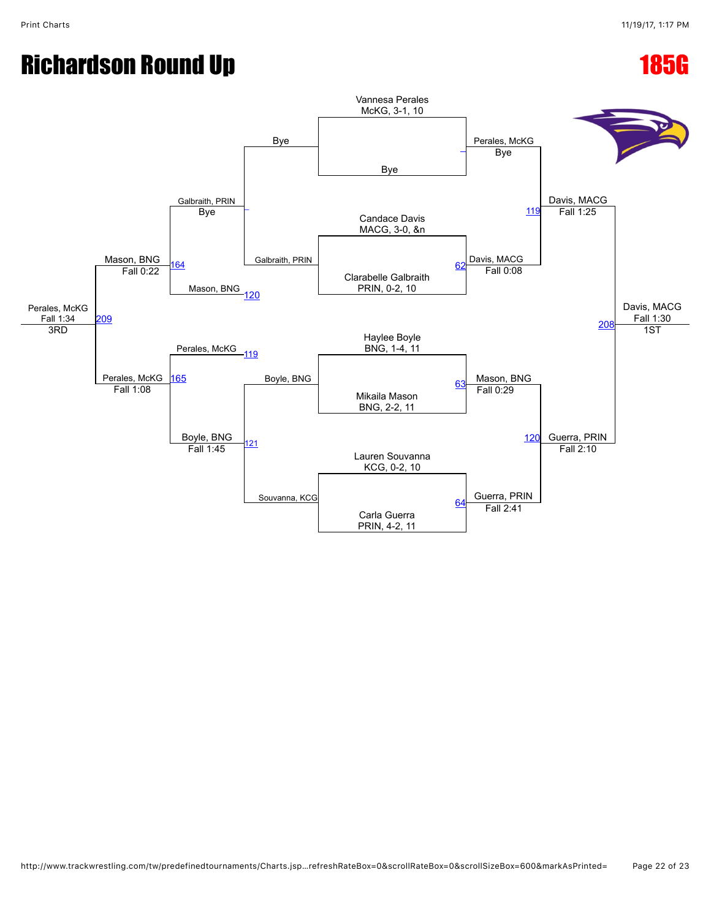# Richardson Round Up **185G**